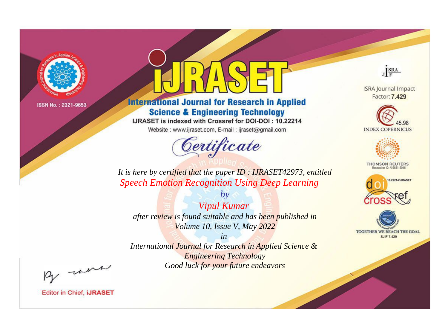

# **International Journal for Research in Applied Science & Engineering Technology**

IJRASET is indexed with Crossref for DOI-DOI: 10.22214

Website: www.ijraset.com, E-mail: ijraset@gmail.com



JERA

**ISRA Journal Impact** Factor: 7.429





**THOMSON REUTERS** 



TOGETHER WE REACH THE GOAL **SJIF 7.429** 

It is here by certified that the paper ID: IJRASET42973, entitled **Speech Emotion Recognition Using Deep Learning** 

**Vipul Kumar** after review is found suitable and has been published in Volume 10, Issue V, May 2022

 $by$ 

 $in$ International Journal for Research in Applied Science & **Engineering Technology** Good luck for your future endeavors

By morn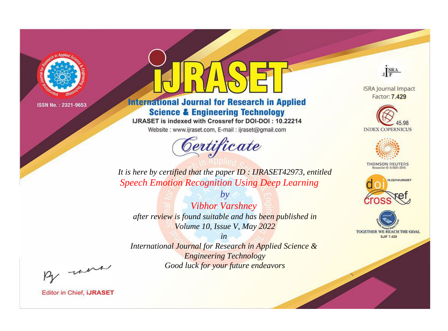

# **International Journal for Research in Applied Science & Engineering Technology**

IJRASET is indexed with Crossref for DOI-DOI: 10.22214

Website: www.ijraset.com, E-mail: ijraset@gmail.com



JERA

**ISRA Journal Impact** Factor: 7.429





**THOMSON REUTERS** 



TOGETHER WE REACH THE GOAL **SJIF 7.429** 

*It is here by certified that the paper ID : IJRASET42973, entitled Speech Emotion Recognition Using Deep Learning*

*by Vibhor Varshney after review is found suitable and has been published in Volume 10, Issue V, May 2022*

*in* 

*International Journal for Research in Applied Science & Engineering Technology Good luck for your future endeavors*

By morn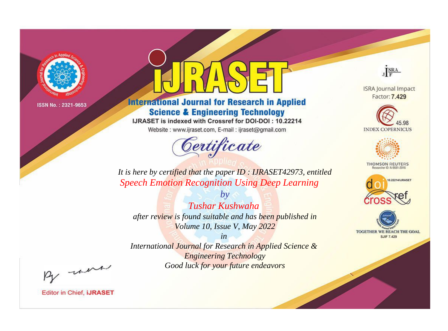

# **International Journal for Research in Applied Science & Engineering Technology**

IJRASET is indexed with Crossref for DOI-DOI: 10.22214

Website: www.ijraset.com, E-mail: ijraset@gmail.com



JERA

**ISRA Journal Impact** Factor: 7.429





**THOMSON REUTERS** 



TOGETHER WE REACH THE GOAL **SJIF 7.429** 

*It is here by certified that the paper ID : IJRASET42973, entitled Speech Emotion Recognition Using Deep Learning*

*by Tushar Kushwaha after review is found suitable and has been published in Volume 10, Issue V, May 2022*

*in* 

*International Journal for Research in Applied Science & Engineering Technology Good luck for your future endeavors*

By morn